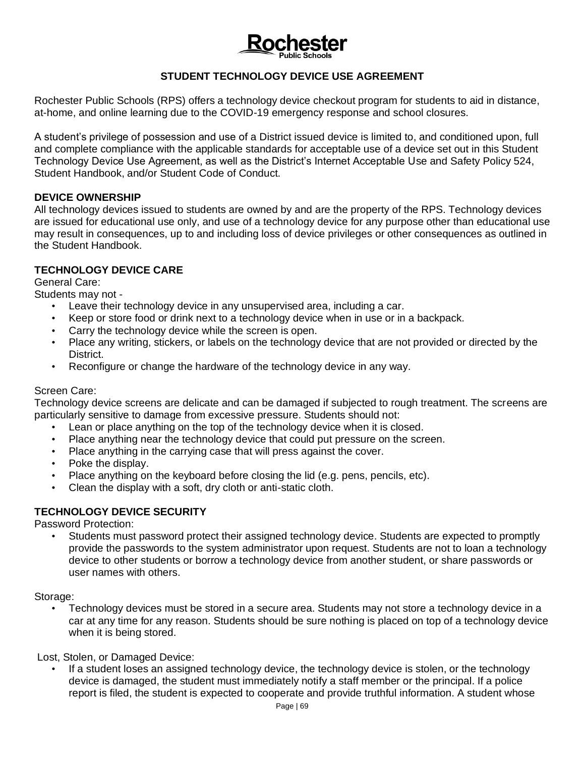# **STUDENT TECHNOLOGY DEVICE USE AGREEMENT**

Rochester Public Schools (RPS) offers a technology device checkout program for students to aid in distance, at-home, and online learning due to the COVID-19 emergency response and school closures.

A student's privilege of possession and use of a District issued device is limited to, and conditioned upon, full and complete compliance with the applicable standards for acceptable use of a device set out in this Student Technology Device Use Agreement, as well as the District's Internet Acceptable Use and Safety Policy 524, Student Handbook, and/or Student Code of Conduct.

#### **DEVICE OWNERSHIP**

All technology devices issued to students are owned by and are the property of the RPS. Technology devices are issued for educational use only, and use of a technology device for any purpose other than educational use may result in consequences, up to and including loss of device privileges or other consequences as outlined in the Student Handbook.

#### **TECHNOLOGY DEVICE CARE**

General Care:

Students may not -

- Leave their technology device in any unsupervised area, including a car.
- Keep or store food or drink next to a technology device when in use or in a backpack.
- Carry the technology device while the screen is open.
- Place any writing, stickers, or labels on the technology device that are not provided or directed by the District.
- Reconfigure or change the hardware of the technology device in any way.

#### Screen Care:

Technology device screens are delicate and can be damaged if subjected to rough treatment. The screens are particularly sensitive to damage from excessive pressure. Students should not:

- Lean or place anything on the top of the technology device when it is closed.
- Place anything near the technology device that could put pressure on the screen.
- Place anything in the carrying case that will press against the cover.
- Poke the display.
- Place anything on the keyboard before closing the lid (e.g. pens, pencils, etc).
- Clean the display with a soft, dry cloth or anti-static cloth.

## **TECHNOLOGY DEVICE SECURITY**

Password Protection:

• Students must password protect their assigned technology device. Students are expected to promptly provide the passwords to the system administrator upon request. Students are not to loan a technology device to other students or borrow a technology device from another student, or share passwords or user names with others.

#### Storage:

• Technology devices must be stored in a secure area. Students may not store a technology device in a car at any time for any reason. Students should be sure nothing is placed on top of a technology device when it is being stored.

Lost, Stolen, or Damaged Device:

• If a student loses an assigned technology device, the technology device is stolen, or the technology device is damaged, the student must immediately notify a staff member or the principal. If a police report is filed, the student is expected to cooperate and provide truthful information. A student whose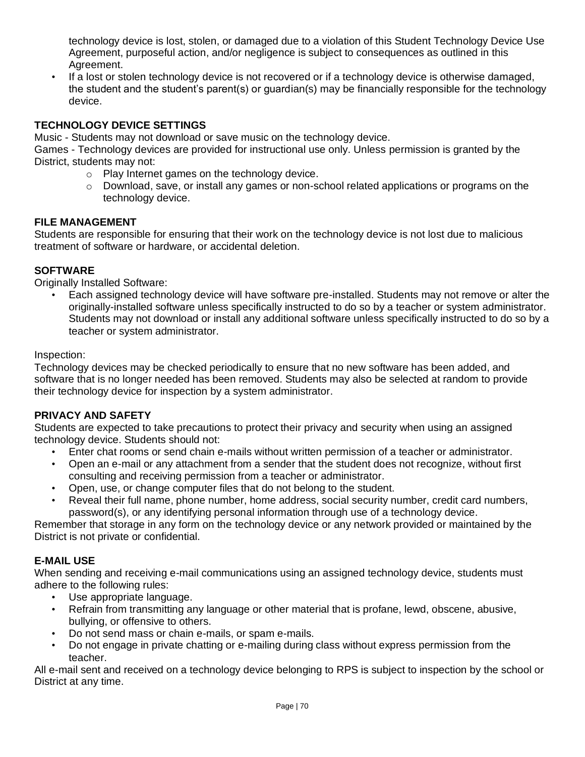technology device is lost, stolen, or damaged due to a violation of this Student Technology Device Use Agreement, purposeful action, and/or negligence is subject to consequences as outlined in this Agreement.

• If a lost or stolen technology device is not recovered or if a technology device is otherwise damaged, the student and the student's parent(s) or guardian(s) may be financially responsible for the technology device.

# **TECHNOLOGY DEVICE SETTINGS**

Music - Students may not download or save music on the technology device.

Games - Technology devices are provided for instructional use only. Unless permission is granted by the District, students may not:

- o Play Internet games on the technology device.
- $\circ$  Download, save, or install any games or non-school related applications or programs on the technology device.

## **FILE MANAGEMENT**

Students are responsible for ensuring that their work on the technology device is not lost due to malicious treatment of software or hardware, or accidental deletion.

# **SOFTWARE**

Originally Installed Software:

• Each assigned technology device will have software pre-installed. Students may not remove or alter the originally-installed software unless specifically instructed to do so by a teacher or system administrator. Students may not download or install any additional software unless specifically instructed to do so by a teacher or system administrator.

## Inspection:

Technology devices may be checked periodically to ensure that no new software has been added, and software that is no longer needed has been removed. Students may also be selected at random to provide their technology device for inspection by a system administrator.

# **PRIVACY AND SAFETY**

Students are expected to take precautions to protect their privacy and security when using an assigned technology device. Students should not:

- Enter chat rooms or send chain e-mails without written permission of a teacher or administrator.
- Open an e-mail or any attachment from a sender that the student does not recognize, without first consulting and receiving permission from a teacher or administrator.
- Open, use, or change computer files that do not belong to the student.
- Reveal their full name, phone number, home address, social security number, credit card numbers, password(s), or any identifying personal information through use of a technology device.

Remember that storage in any form on the technology device or any network provided or maintained by the District is not private or confidential.

# **E-MAIL USE**

When sending and receiving e-mail communications using an assigned technology device, students must adhere to the following rules:

- Use appropriate language.
- Refrain from transmitting any language or other material that is profane, lewd, obscene, abusive, bullying, or offensive to others.
- Do not send mass or chain e-mails, or spam e-mails.
- Do not engage in private chatting or e-mailing during class without express permission from the teacher.

All e-mail sent and received on a technology device belonging to RPS is subject to inspection by the school or District at any time.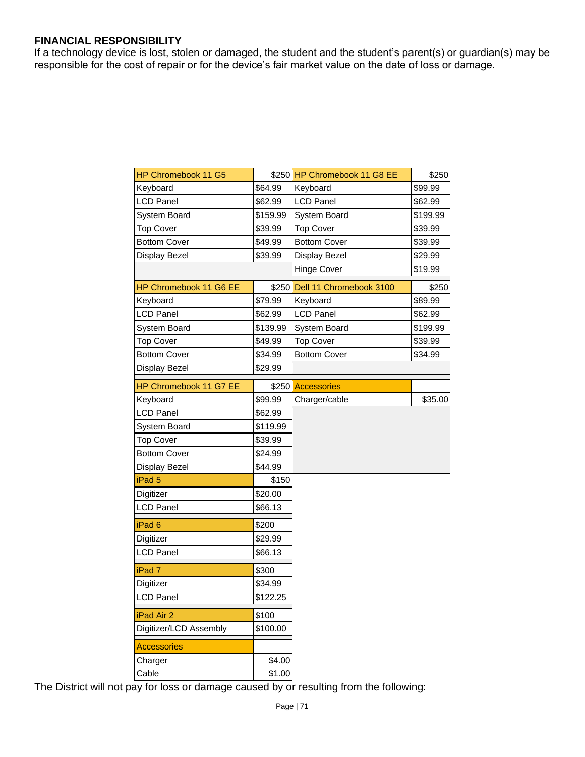#### **FINANCIAL RESPONSIBILITY**

If a technology device is lost, stolen or damaged, the student and the student's parent(s) or guardian(s) may be responsible for the cost of repair or for the device's fair market value on the date of loss or damage.

| <b>HP Chromebook 11 G5</b> |          | \$250 HP Chromebook 11 G8 EE  | \$250    |
|----------------------------|----------|-------------------------------|----------|
| Keyboard                   | \$64.99  | Keyboard                      | \$99.99  |
| <b>LCD Panel</b>           | \$62.99  | <b>LCD Panel</b>              | \$62.99  |
| System Board               | \$159.99 | System Board                  | \$199.99 |
| <b>Top Cover</b>           | \$39.99  | <b>Top Cover</b>              | \$39.99  |
| <b>Bottom Cover</b>        | \$49.99  | <b>Bottom Cover</b>           | \$39.99  |
| Display Bezel              | \$39.99  | Display Bezel                 | \$29.99  |
|                            |          | <b>Hinge Cover</b>            | \$19.99  |
| HP Chromebook 11 G6 EE     |          | \$250 Dell 11 Chromebook 3100 | \$250    |
| Keyboard                   | \$79.99  | Keyboard                      | \$89.99  |
| LCD Panel                  | \$62.99  | <b>LCD Panel</b>              | \$62.99  |
| System Board               | \$139.99 | System Board                  | \$199.99 |
| <b>Top Cover</b>           | \$49.99  | <b>Top Cover</b>              | \$39.99  |
| <b>Bottom Cover</b>        | \$34.99  | <b>Bottom Cover</b>           | \$34.99  |
| Display Bezel              | \$29.99  |                               |          |
| HP Chromebook 11 G7 EE     | \$250    | <b>Accessories</b>            |          |
| Keyboard                   | \$99.99  | Charger/cable                 | \$35.00  |
| <b>LCD Panel</b>           | \$62.99  |                               |          |
| System Board               | \$119.99 |                               |          |
| <b>Top Cover</b>           | \$39.99  |                               |          |
| <b>Bottom Cover</b>        | \$24.99  |                               |          |
| Display Bezel              | \$44.99  |                               |          |
| iPad <sub>5</sub>          | \$150    |                               |          |
| Digitizer                  | \$20.00  |                               |          |
| LCD Panel                  | \$66.13  |                               |          |
| iPad <sub>6</sub>          | \$200    |                               |          |
| Digitizer                  | \$29.99  |                               |          |
| <b>LCD Panel</b>           | \$66.13  |                               |          |
| iPad <sub>7</sub>          | \$300    |                               |          |
| Digitizer                  | \$34.99  |                               |          |
| <b>LCD Panel</b>           | \$122.25 |                               |          |
| iPad Air 2                 | \$100    |                               |          |
| Digitizer/LCD Assembly     | \$100.00 |                               |          |
| <b>Accessories</b>         |          |                               |          |
| Charger                    | \$4.00   |                               |          |
| Cable                      | \$1.00   |                               |          |

The District will not pay for loss or damage caused by or resulting from the following: